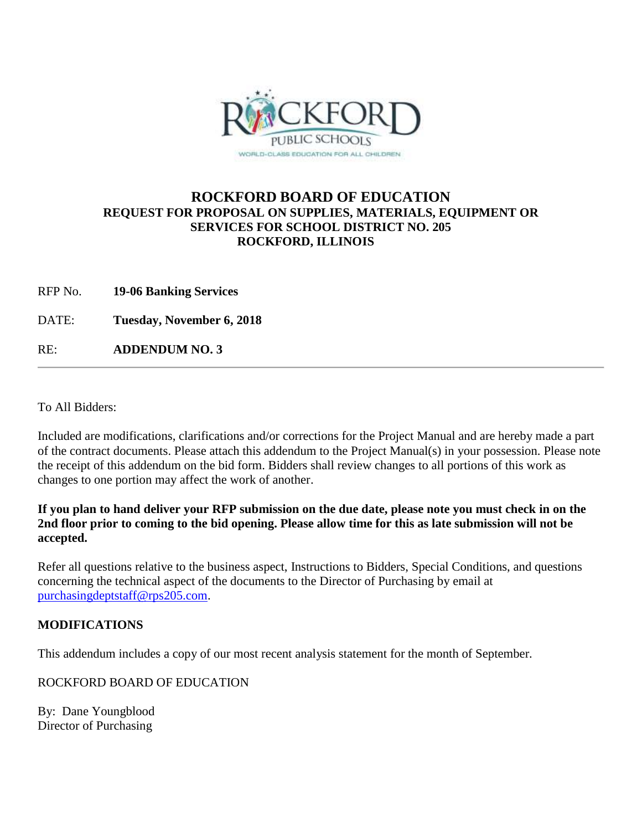

## **ROCKFORD BOARD OF EDUCATION REQUEST FOR PROPOSAL ON SUPPLIES, MATERIALS, EQUIPMENT OR SERVICES FOR SCHOOL DISTRICT NO. 205 ROCKFORD, ILLINOIS**

- RFP No. **19-06 Banking Services**
- DATE: **Tuesday, November 6, 2018**

RE: **ADDENDUM NO. 3**

To All Bidders:

Included are modifications, clarifications and/or corrections for the Project Manual and are hereby made a part of the contract documents. Please attach this addendum to the Project Manual(s) in your possession. Please note the receipt of this addendum on the bid form. Bidders shall review changes to all portions of this work as changes to one portion may affect the work of another.

## **If you plan to hand deliver your RFP submission on the due date, please note you must check in on the 2nd floor prior to coming to the bid opening. Please allow time for this as late submission will not be accepted.**

Refer all questions relative to the business aspect, Instructions to Bidders, Special Conditions, and questions concerning the technical aspect of the documents to the Director of Purchasing by email at [purchasingdeptstaff@rps205.com.](mailto:purchasingdeptstaff@rps205.com)

## **MODIFICATIONS**

This addendum includes a copy of our most recent analysis statement for the month of September.

ROCKFORD BOARD OF EDUCATION

By: Dane Youngblood Director of Purchasing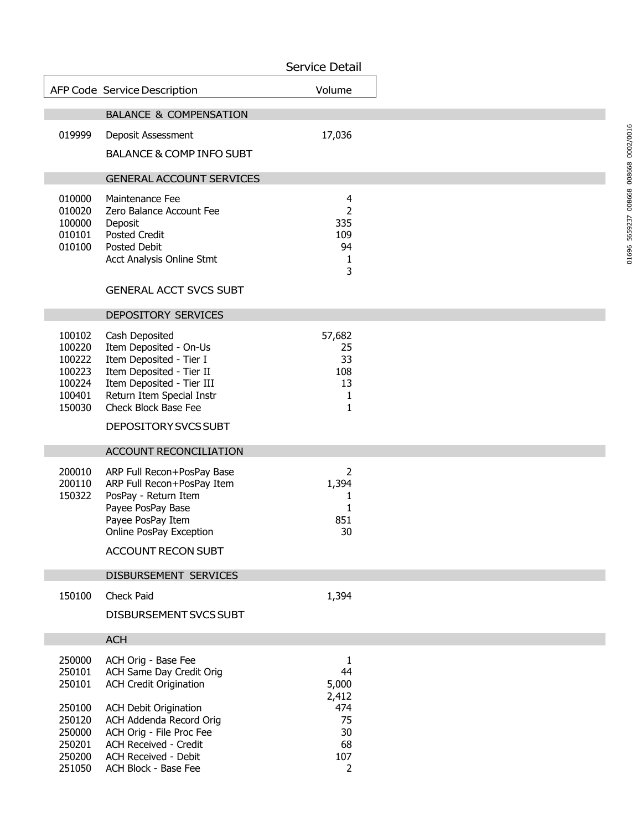|                                                                    |                                                                                                                                                                                                           | Service Detail                                     |  |
|--------------------------------------------------------------------|-----------------------------------------------------------------------------------------------------------------------------------------------------------------------------------------------------------|----------------------------------------------------|--|
|                                                                    | AFP Code Service Description                                                                                                                                                                              | Volume                                             |  |
|                                                                    | <b>BALANCE &amp; COMPENSATION</b>                                                                                                                                                                         |                                                    |  |
| 019999                                                             | Deposit Assessment                                                                                                                                                                                        | 17,036                                             |  |
|                                                                    | <b>BALANCE &amp; COMP INFO SUBT</b>                                                                                                                                                                       |                                                    |  |
|                                                                    | <b>GENERAL ACCOUNT SERVICES</b>                                                                                                                                                                           |                                                    |  |
| 010000<br>010020<br>100000<br>010101<br>010100                     | Maintenance Fee<br>Zero Balance Account Fee<br>Deposit<br><b>Posted Credit</b><br><b>Posted Debit</b><br>Acct Analysis Online Stmt<br><b>GENERAL ACCT SVCS SUBT</b>                                       | 4<br>$\overline{2}$<br>335<br>109<br>94<br>1<br>3  |  |
|                                                                    | DEPOSITORY SERVICES                                                                                                                                                                                       |                                                    |  |
| 100102<br>100220<br>100222<br>100223<br>100224<br>100401<br>150030 | Cash Deposited<br>Item Deposited - On-Us<br>Item Deposited - Tier I<br>Item Deposited - Tier II<br>Item Deposited - Tier III<br>Return Item Special Instr<br>Check Block Base Fee<br>DEPOSITORY SVCS SUBT | 57,682<br>25<br>33<br>108<br>13<br>1<br>1          |  |
|                                                                    | ACCOUNT RECONCILIATION                                                                                                                                                                                    |                                                    |  |
| 200010<br>200110<br>150322                                         | ARP Full Recon+PosPay Base<br>ARP Full Recon+PosPay Item<br>PosPay - Return Item<br>Payee PosPay Base<br>Payee PosPay Item<br>Online PosPay Exception<br><b>ACCOUNT RECON SUBT</b>                        | 2<br>1,394<br>1<br>1<br>851<br>30                  |  |
|                                                                    |                                                                                                                                                                                                           |                                                    |  |
| 150100                                                             | DISBURSEMENT SERVICES<br>Check Paid                                                                                                                                                                       | 1,394                                              |  |
|                                                                    | DISBURSEMENT SVCS SUBT                                                                                                                                                                                    |                                                    |  |
|                                                                    | <b>ACH</b>                                                                                                                                                                                                |                                                    |  |
| 250000<br>250101<br>250101<br>250100<br>250120<br>250000<br>250201 | ACH Orig - Base Fee<br>ACH Same Day Credit Orig<br><b>ACH Credit Origination</b><br><b>ACH Debit Origination</b><br>ACH Addenda Record Orig<br>ACH Orig - File Proc Fee<br><b>ACH Received - Credit</b>   | 1<br>44<br>5,000<br>2,412<br>474<br>75<br>30<br>68 |  |
| 250200<br>251050                                                   | <b>ACH Received - Debit</b><br>ACH Block - Base Fee                                                                                                                                                       | 107<br>$\overline{2}$                              |  |